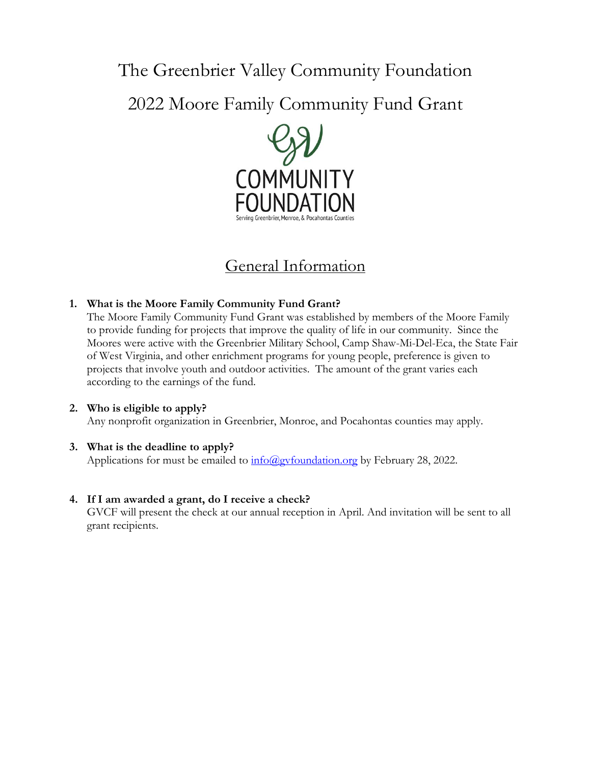# The Greenbrier Valley Community Foundation

2022 Moore Family Community Fund Grant



# General Information

### **1. What is the Moore Family Community Fund Grant?**

The Moore Family Community Fund Grant was established by members of the Moore Family to provide funding for projects that improve the quality of life in our community. Since the Moores were active with the Greenbrier Military School, Camp Shaw-Mi-Del-Eca, the State Fair of West Virginia, and other enrichment programs for young people, preference is given to projects that involve youth and outdoor activities. The amount of the grant varies each according to the earnings of the fund.

#### **2. Who is eligible to apply?** Any nonprofit organization in Greenbrier, Monroe, and Pocahontas counties may apply.

## **3. What is the deadline to apply?**

Applications for must be emailed to  $\frac{info(\partial gytoundation.org)}{info(\partial gytoundation.org)}$  by February 28, 2022.

#### **4. If I am awarded a grant, do I receive a check?**

GVCF will present the check at our annual reception in April. And invitation will be sent to all grant recipients.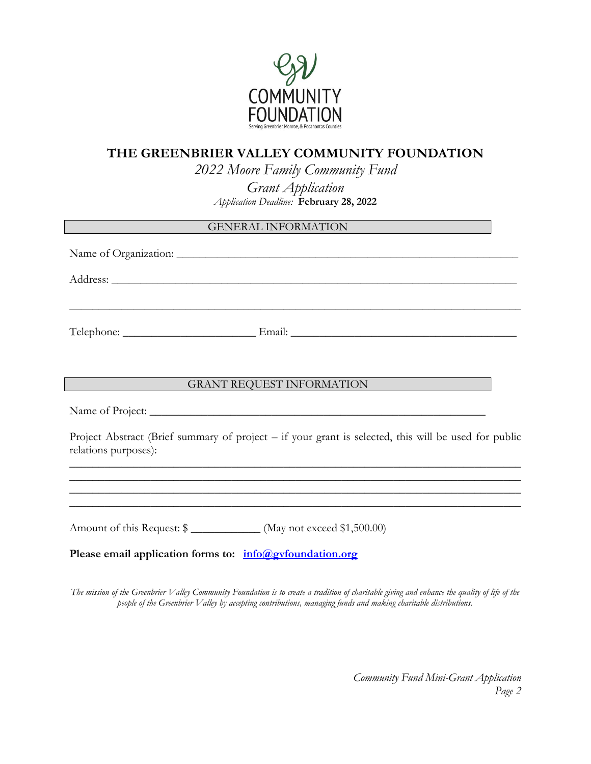

# **THE GREENBRIER VALLEY COMMUNITY FOUNDATION**

*2022 Moore Family Community Fund Grant Application Application Deadline:* **February 28, 2022**

| $\overline{11}$                                                                                                                                                                                                                      |
|--------------------------------------------------------------------------------------------------------------------------------------------------------------------------------------------------------------------------------------|
| <b>CONTRACTER SERVICE AND SERVICE AND SERVICE AND SERVICE AND SERVICE AND SERVICE AND SERVICE AND SERVICE AND SERVICE AND SERVICE AND SERVICE AND SERVICE AND SERVICE AND SERVICE AND SERVICE AND SERVICE AND SERVICE AND SERVIC</b> |
|                                                                                                                                                                                                                                      |
|                                                                                                                                                                                                                                      |
| ,我们也不能在这里的时候,我们也不能在这里的时候,我们也不能不能不能不能不能不能不能不能不能不能不能不能不能不能。""我们,我们也不能不能不能不能不能不能不能不能                                                                                                                                                    |
|                                                                                                                                                                                                                                      |
|                                                                                                                                                                                                                                      |
|                                                                                                                                                                                                                                      |
| GRANT REQUEST INFORMATION                                                                                                                                                                                                            |
|                                                                                                                                                                                                                                      |
| Project Abstract (Brief summary of project – if your grant is selected, this will be used for public<br>relations purposes):                                                                                                         |
| ,我们也不能在这里的人,我们也不能在这里的人,我们也不能不能不能不能不能不能不能不能不能不能不能不能不能不能。""我们的人,我们也不能不能不能不能不能不能不能不<br><u> 1989 - Johann Stoff, amerikansk politik (f. 1989)</u>                                                                                        |
| ,我们也不能会有什么。""我们的人,我们也不能会有什么?""我们的人,我们也不能会有什么?""我们的人,我们也不能会有什么?""我们的人,我们也不能会有什么?""<br>,我们也不能在这里的人,我们也不能在这里的人,我们也不能在这里的人,我们也不能在这里的人,我们也不能在这里的人,我们也不能在这里的人,我们也不能在这里的人,我们也                                                               |
| Amount of this Request: \$ ______________ (May not exceed \$1,500.00)                                                                                                                                                                |
| Please email application forms to: info@gyfoundation.org                                                                                                                                                                             |

*The mission of the Greenbrier Valley Community Foundation is to create a tradition of charitable giving and enhance the quality of life of the people of the Greenbrier Valley by accepting contributions, managing funds and making charitable distributions.*

> *Community Fund Mini-Grant Application Page 2*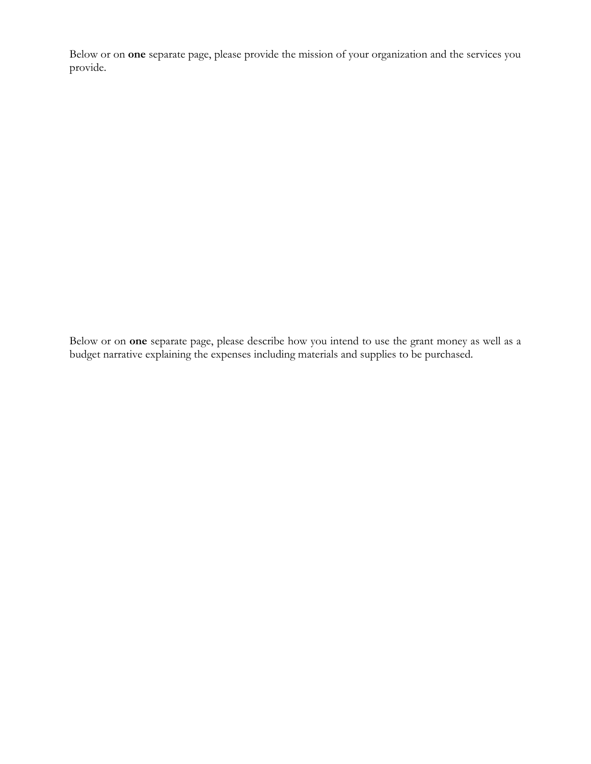Below or on **one** separate page, please provide the mission of your organization and the services you provide.

Below or on **one** separate page, please describe how you intend to use the grant money as well as a budget narrative explaining the expenses including materials and supplies to be purchased.